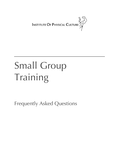

# Small Group Training

Frequently Asked Questions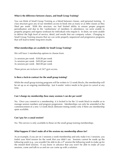#### **What is the difference between classes, and Small Group Training?**

You can think of Small Group Training as a blend between classes, and personal training. A class structure gave any of our members access to book into as many or as little classes as they liked per week. With this structure, we had limited ability to ensure proper program periodisation and due to the 'randomness' of members in attendance, we were unable to properly progress and regress workouts for individuals who require it. In short, we were unable to deliver the high level of service, detail, and results that our company values. Changing to Small Group Training ensures that we can write properly sequenced and progressive programs that will lead to better long-term results.

# **What memberships are available for Small Group Training?**

We will have 3 membership options to choose from:

2x sessions per week - \$38.00 per week 3x sessions per week - \$49.00 per week 4x sessions per week - \$60.00 per week

These prices are *inclusive* of 24/7 gym access.

# **Is there a lock-in contract for the small group training?**

While the small group training programs will be written in 12-week blocks, the membership will be set up as an ongoing membership. Just 4-weeks' notice needs to be given to cancel at any time.

#### **Can I change my membership (how many sessions I can do) per week?**

No. Once you commit to a membership, it is locked in for the 12-week block to enable us to manage session numbers and program progression. Memberships can only be amended at the commencement of a new 12-week block (between testing weeks) only if there are membership spots available.

#### **Can I pay for a casual session?**

No. This service is only available to those on the small group training memberships.

# **What happens if I don't make all of the sessions my membership allows for?**

As an example, if you are on 3 sessions a week membership and only make it to 2 sessions, you forfeit your third session for the week that you didn't use. Sessions cannot be made up the following week (e.g., you wouldn't be able to do a 4<sup>th</sup> session the following week to make up for the missed third session). If you know in advance that you won't be able to make all your sessions, come and talk to us and we can come up with a solution.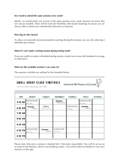# **Do I need to attend the same sessions every week?**

Ideally, we would prefer you to lock in the same sessions every week, however we know that isn't always feasible. There will be room for flexibility with session bookings to ensure you are always able to attend your membership allowance of sessions.

#### **How big are the classes?**

To allow us to provide more personalised coaching during the sessions, we are only allowing 4 attendees per session.

#### **What if I can't make a testing session during testing week?**

If you are unable to make a scheduled testing session, contact one of our staff members to arrange an alternative.

#### **What are the available sessions I can come to?**

The sessions available are outlined in the timetable below:

| <b>SMALL GROUP CLASS TIMETABLE</b><br><b>INSTITUTE OF PHYSICAL CULTURE</b><br>Unit 16, 14 Ashtan Place, Banyo QLD 4014 |                            |                            |                                 |                     |                            |                 |
|------------------------------------------------------------------------------------------------------------------------|----------------------------|----------------------------|---------------------------------|---------------------|----------------------------|-----------------|
| <b>TIME</b>                                                                                                            | <b>MONDAY</b>              | <b>TUESDAY</b>             | <b>WEDNESDAY</b>                | <b>THURSDAY</b>     | <b>FRIDAY</b>              | <b>SATURDAY</b> |
| $5:15$ AM                                                                                                              | SESSION<br>With Zoe        |                            | <b>Session</b><br>With Courtney |                     | SESSION<br>With Zoe        |                 |
| 6:00 AM                                                                                                                | <b>Session</b><br>With Zoo | Session<br>WITH COURTNEY   |                                 | SESSION<br>With Zoe | <b>Session</b><br>With Zoe |                 |
| $7:00$ AM                                                                                                              |                            |                            |                                 |                     |                            |                 |
| 8:00 AM                                                                                                                |                            |                            |                                 |                     |                            |                 |
| $9:30$ AM                                                                                                              |                            |                            |                                 |                     |                            |                 |
| 5:30 PM                                                                                                                | SESSION<br>With Zoe        | <b>Session</b><br>With Zoe | SESSION<br>With Luke            |                     |                            |                 |
| 6:00 PM                                                                                                                |                            |                            |                                 |                     |                            |                 |

Please note, that once a session is booked full, it becomes unavailable. You will be set up an account in Zen Planner, which is our booking system. You will be able to schedule in your own sessions via the app.